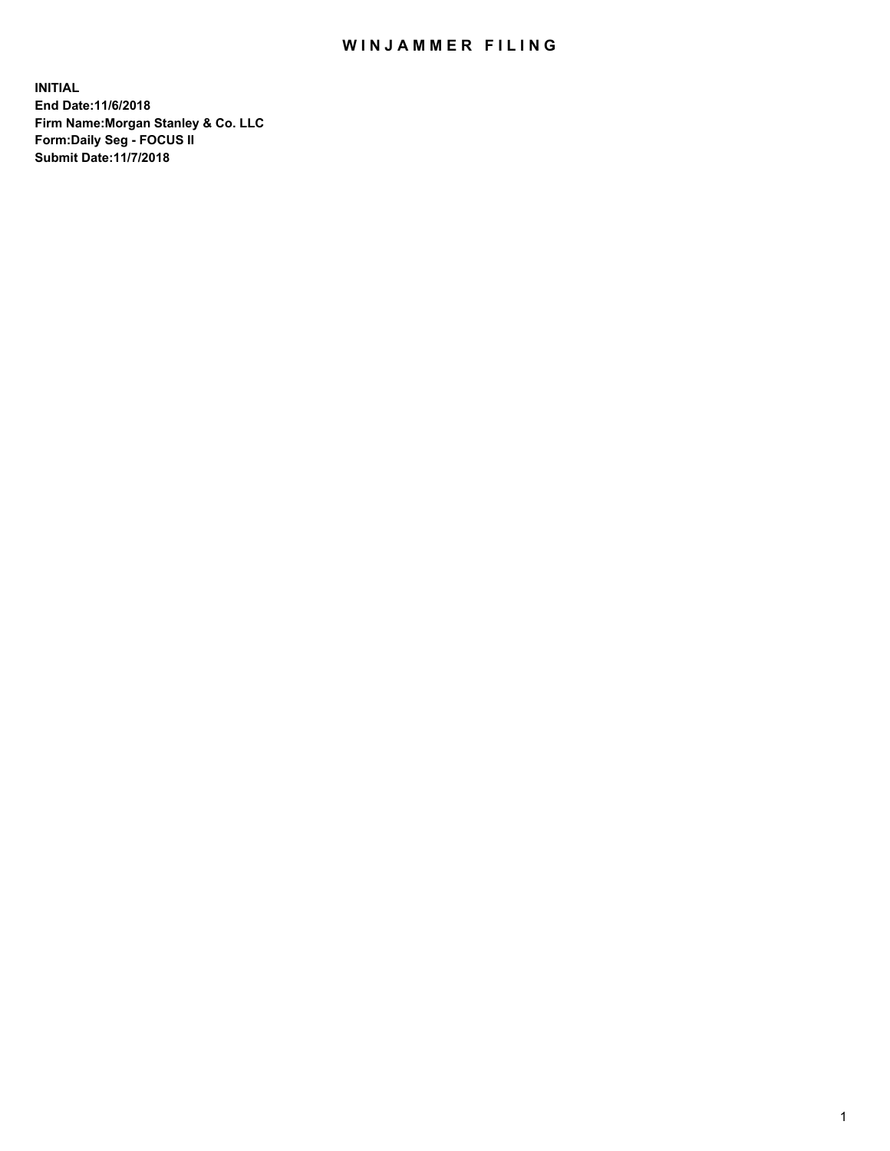## WIN JAMMER FILING

**INITIAL End Date:11/6/2018 Firm Name:Morgan Stanley & Co. LLC Form:Daily Seg - FOCUS II Submit Date:11/7/2018**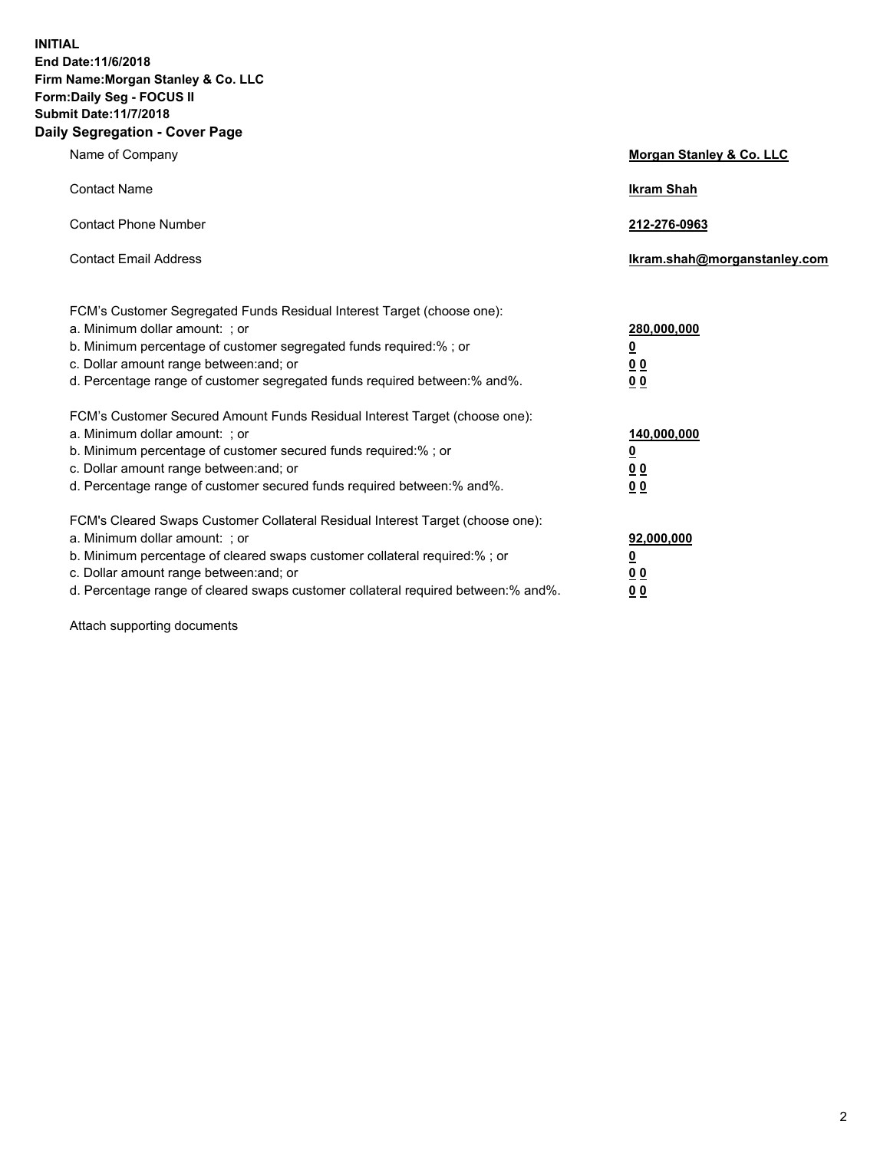**INITIAL End Date:11/6/2018 Firm Name:Morgan Stanley & Co. LLC Form:Daily Seg - FOCUS II Submit Date:11/7/2018 Daily Segregation - Cover Page**

| Name of Company                                                                   | Morgan Stanley & Co. LLC     |
|-----------------------------------------------------------------------------------|------------------------------|
| <b>Contact Name</b>                                                               | <b>Ikram Shah</b>            |
| <b>Contact Phone Number</b>                                                       | 212-276-0963                 |
| <b>Contact Email Address</b>                                                      | Ikram.shah@morganstanley.com |
| FCM's Customer Segregated Funds Residual Interest Target (choose one):            |                              |
| a. Minimum dollar amount: ; or                                                    | 280,000,000                  |
| b. Minimum percentage of customer segregated funds required:% ; or                | <u>0</u>                     |
| c. Dollar amount range between: and; or                                           | <u>0 0</u>                   |
| d. Percentage range of customer segregated funds required between: % and %.       | 0 Q                          |
| FCM's Customer Secured Amount Funds Residual Interest Target (choose one):        |                              |
| a. Minimum dollar amount: ; or                                                    | 140,000,000                  |
| b. Minimum percentage of customer secured funds required:%; or                    | <u>0</u>                     |
| c. Dollar amount range between: and; or                                           | 0 <sub>0</sub>               |
| d. Percentage range of customer secured funds required between:% and%.            | 0 <sub>0</sub>               |
| FCM's Cleared Swaps Customer Collateral Residual Interest Target (choose one):    |                              |
| a. Minimum dollar amount: ; or                                                    | 92,000,000                   |
| b. Minimum percentage of cleared swaps customer collateral required:% ; or        | <u>0</u>                     |
| c. Dollar amount range between: and; or                                           | 0 Q                          |
| d. Percentage range of cleared swaps customer collateral required between:% and%. | 00                           |

Attach supporting documents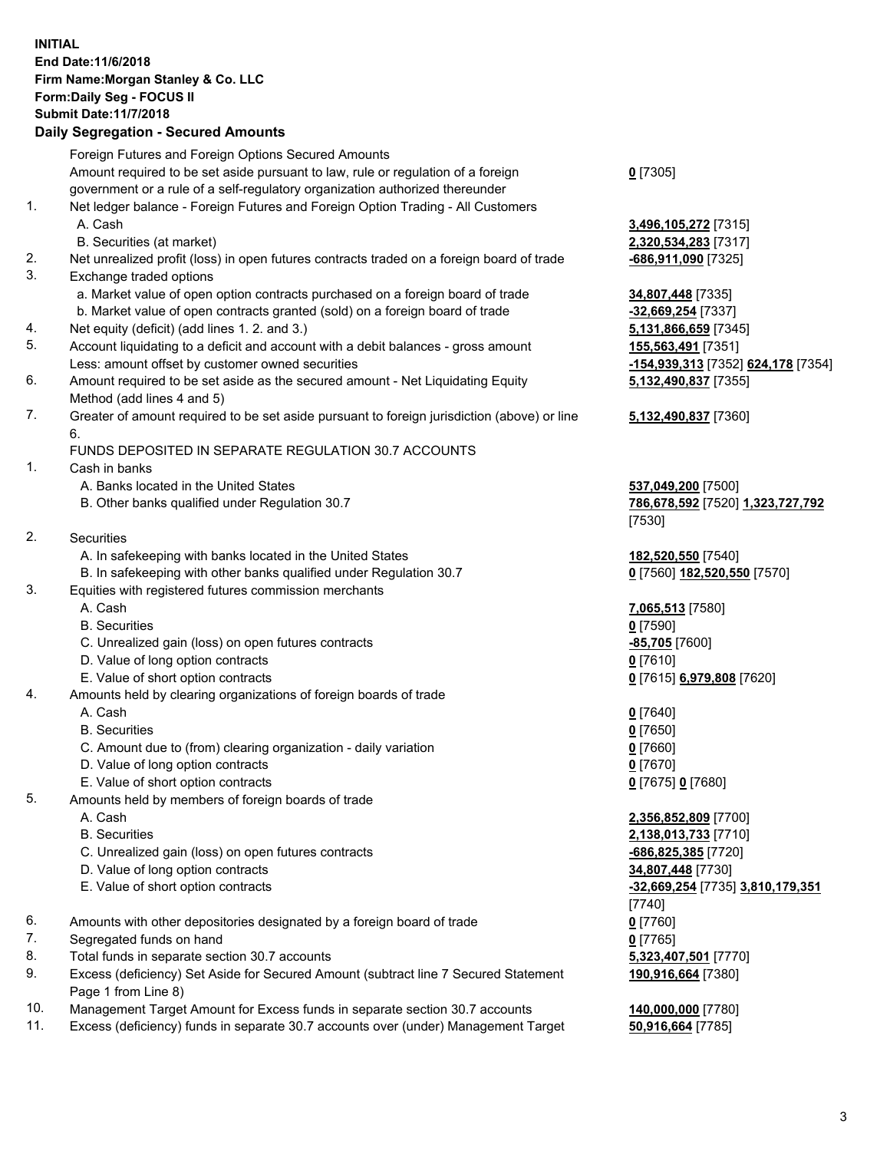## **INITIAL End Date:11/6/2018 Firm Name:Morgan Stanley & Co. LLC Form:Daily Seg - FOCUS II Submit Date:11/7/2018**

## **Daily Segregation - Secured Amounts**

|           | Dany Ocgregation - Ocearea Anioanta                                                                 |                                    |
|-----------|-----------------------------------------------------------------------------------------------------|------------------------------------|
|           | Foreign Futures and Foreign Options Secured Amounts                                                 |                                    |
|           | Amount required to be set aside pursuant to law, rule or regulation of a foreign                    | $0$ [7305]                         |
|           | government or a rule of a self-regulatory organization authorized thereunder                        |                                    |
| 1.        | Net ledger balance - Foreign Futures and Foreign Option Trading - All Customers                     |                                    |
|           | A. Cash                                                                                             | 3,496,105,272 [7315]               |
|           | B. Securities (at market)                                                                           | 2,320,534,283 [7317]               |
| 2.        | Net unrealized profit (loss) in open futures contracts traded on a foreign board of trade           | -686,911,090 [7325]                |
| 3.        | Exchange traded options                                                                             |                                    |
|           | a. Market value of open option contracts purchased on a foreign board of trade                      | 34,807,448 [7335]                  |
|           | b. Market value of open contracts granted (sold) on a foreign board of trade                        | -32,669,254 [7337]                 |
| 4.        | Net equity (deficit) (add lines 1.2. and 3.)                                                        | 5,131,866,659 [7345]               |
| 5.        | Account liquidating to a deficit and account with a debit balances - gross amount                   | 155,563,491 [7351]                 |
|           | Less: amount offset by customer owned securities                                                    | -154,939,313 [7352] 624,178 [7354] |
| 6.        | Amount required to be set aside as the secured amount - Net Liquidating Equity                      | 5,132,490,837 [7355]               |
|           | Method (add lines 4 and 5)                                                                          |                                    |
| 7.        | Greater of amount required to be set aside pursuant to foreign jurisdiction (above) or line         | 5,132,490,837 [7360]               |
|           | 6.                                                                                                  |                                    |
|           | FUNDS DEPOSITED IN SEPARATE REGULATION 30.7 ACCOUNTS                                                |                                    |
| 1.        | Cash in banks                                                                                       |                                    |
|           | A. Banks located in the United States                                                               | 537,049,200 [7500]                 |
|           | B. Other banks qualified under Regulation 30.7                                                      | 786,678,592 [7520] 1,323,727,792   |
|           |                                                                                                     | [7530]                             |
| 2.        | Securities                                                                                          |                                    |
|           | A. In safekeeping with banks located in the United States                                           | 182,520,550 [7540]                 |
|           | B. In safekeeping with other banks qualified under Regulation 30.7                                  | 0 [7560] 182,520,550 [7570]        |
| 3.        | Equities with registered futures commission merchants                                               |                                    |
|           | A. Cash                                                                                             | 7,065,513 [7580]                   |
|           | <b>B.</b> Securities                                                                                | $0$ [7590]                         |
|           | C. Unrealized gain (loss) on open futures contracts                                                 | $-85,705$ [7600]                   |
|           | D. Value of long option contracts                                                                   | $0$ [7610]                         |
|           | E. Value of short option contracts                                                                  | 0 [7615] 6,979,808 [7620]          |
| 4.        | Amounts held by clearing organizations of foreign boards of trade                                   |                                    |
|           | A. Cash                                                                                             | $0$ [7640]                         |
|           | <b>B.</b> Securities                                                                                | $0$ [7650]                         |
|           | C. Amount due to (from) clearing organization - daily variation                                     | $0$ [7660]                         |
|           | D. Value of long option contracts                                                                   | $0$ [7670]                         |
|           | E. Value of short option contracts                                                                  | 0 [7675] 0 [7680]                  |
| 5.        | Amounts held by members of foreign boards of trade                                                  |                                    |
|           | A. Cash                                                                                             | 2,356,852,809 [7700]               |
|           | <b>B.</b> Securities                                                                                | 2,138,013,733 [7710]               |
|           | C. Unrealized gain (loss) on open futures contracts                                                 | $-686,825,385$ [7720]              |
|           | D. Value of long option contracts                                                                   | 34,807,448 [7730]                  |
|           | E. Value of short option contracts                                                                  | -32,669,254 [7735] 3,810,179,351   |
|           |                                                                                                     | [7740]                             |
| 6.        | Amounts with other depositories designated by a foreign board of trade                              | $0$ [7760]                         |
| 7.        | Segregated funds on hand                                                                            | $0$ [7765]                         |
| 8.        | Total funds in separate section 30.7 accounts                                                       | 5,323,407,501 [7770]               |
| 9.        | Excess (deficiency) Set Aside for Secured Amount (subtract line 7 Secured Statement                 | 190,916,664 [7380]                 |
| $10^{-1}$ | Page 1 from Line 8)<br>Managament Terret Amount for Excess fundo in concrete eastien 20.7 cessurity | 440.000.000.177001                 |
|           |                                                                                                     |                                    |

- 10. Management Target Amount for Excess funds in separate section 30.7 accounts **140,000,000** [7780]<br>11. Excess (deficiency) funds in separate 30.7 accounts over (under) Management Target 50,916,664 [7785]
- 11. Excess (deficiency) funds in separate 30.7 accounts over (under) Management Target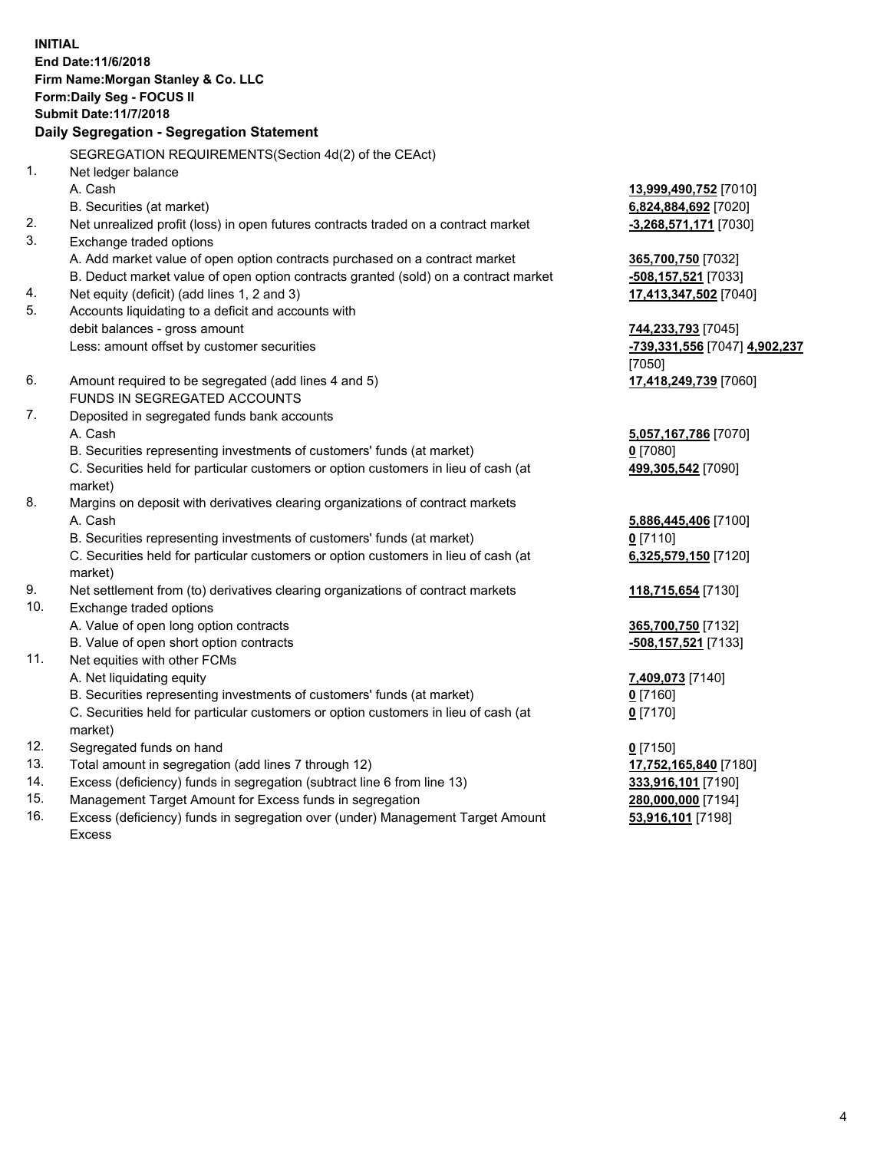**INITIAL End Date:11/6/2018 Firm Name:Morgan Stanley & Co. LLC Form:Daily Seg - FOCUS II Submit Date:11/7/2018 Daily Segregation - Segregation Statement** SEGREGATION REQUIREMENTS(Section 4d(2) of the CEAct) 1. Net ledger balance A. Cash **13,999,490,752** [7010] B. Securities (at market) **6,824,884,692** [7020] 2. Net unrealized profit (loss) in open futures contracts traded on a contract market **-3,268,571,171** [7030] 3. Exchange traded options A. Add market value of open option contracts purchased on a contract market **365,700,750** [7032] B. Deduct market value of open option contracts granted (sold) on a contract market **-508,157,521** [7033] 4. Net equity (deficit) (add lines 1, 2 and 3) **17,413,347,502** [7040] 5. Accounts liquidating to a deficit and accounts with debit balances - gross amount **744,233,793** [7045] Less: amount offset by customer securities **-739,331,556** [7047] **4,902,237** [7050] 6. Amount required to be segregated (add lines 4 and 5) **17,418,249,739** [7060] FUNDS IN SEGREGATED ACCOUNTS 7. Deposited in segregated funds bank accounts A. Cash **5,057,167,786** [7070] B. Securities representing investments of customers' funds (at market) **0** [7080] C. Securities held for particular customers or option customers in lieu of cash (at market) **499,305,542** [7090] 8. Margins on deposit with derivatives clearing organizations of contract markets A. Cash **5,886,445,406** [7100] B. Securities representing investments of customers' funds (at market) **0** [7110] C. Securities held for particular customers or option customers in lieu of cash (at market) **6,325,579,150** [7120] 9. Net settlement from (to) derivatives clearing organizations of contract markets **118,715,654** [7130] 10. Exchange traded options A. Value of open long option contracts **365,700,750** [7132] B. Value of open short option contracts **-508,157,521** [7133] 11. Net equities with other FCMs A. Net liquidating equity **7,409,073** [7140] B. Securities representing investments of customers' funds (at market) **0** [7160] C. Securities held for particular customers or option customers in lieu of cash (at market) **0** [7170] 12. Segregated funds on hand **0** [7150] 13. Total amount in segregation (add lines 7 through 12) **17,752,165,840** [7180] 14. Excess (deficiency) funds in segregation (subtract line 6 from line 13) **333,916,101** [7190]

- 15. Management Target Amount for Excess funds in segregation **280,000,000** [7194]
- 16. Excess (deficiency) funds in segregation over (under) Management Target Amount Excess

**53,916,101** [7198]